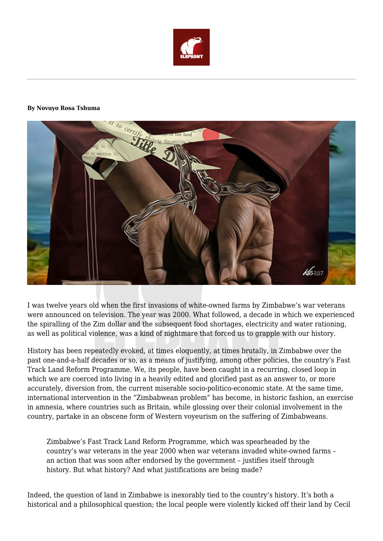

## **By Novuyo Rosa Tshuma**



I was twelve years old when the first invasions of white-owned farms by Zimbabwe's war veterans were announced on television. The year was 2000. What followed, a decade in which we experienced the spiralling of the Zim dollar and the subsequent food shortages, electricity and water rationing, as well as political violence, was a kind of nightmare that forced us to grapple with our history.

History has been repeatedly evoked, at times eloquently, at times brutally, in Zimbabwe over the past one-and-a-half decades or so, as a means of justifying, among other policies, the country's Fast Track Land Reform Programme. We, its people, have been caught in a recurring, closed loop in which we are coerced into living in a heavily edited and glorified past as an answer to, or more accurately, diversion from, the current miserable socio-politico-economic state. At the same time, international intervention in the "Zimbabwean problem" has become, in historic fashion, an exercise in amnesia, where countries such as Britain, while glossing over their colonial involvement in the country, partake in an obscene form of Western voyeurism on the suffering of Zimbabweans.

Zimbabwe's Fast Track Land Reform Programme, which was spearheaded by the country's war veterans in the year 2000 when war veterans invaded white-owned farms – an action that was soon after endorsed by the government – justifies itself through history. But what history? And what justifications are being made?

Indeed, the question of land in Zimbabwe is inexorably tied to the country's history. It's both a historical and a philosophical question; the local people were violently kicked off their land by Cecil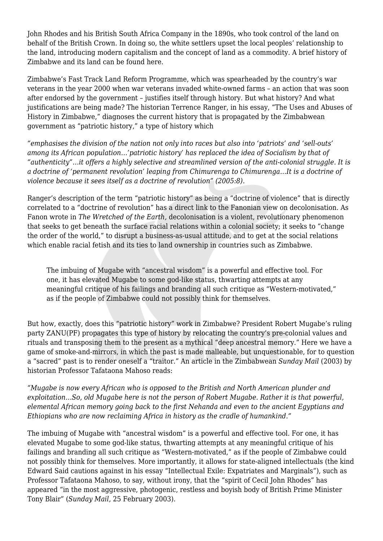John Rhodes and his British South Africa Company in the 1890s, who took control of the land on behalf of the British Crown. In doing so, the white settlers upset the local peoples' relationship to the land, introducing modern capitalism and the concept of land as a commodity. A brief history of Zimbabwe and its land can be found here.

Zimbabwe's Fast Track Land Reform Programme, which was spearheaded by the country's war veterans in the year 2000 when war veterans invaded white-owned farms – an action that was soon after endorsed by the government – justifies itself through history. But what history? And what justifications are being made? The historian Terrence Ranger, in his essay, "The Uses and Abuses of History in Zimbabwe," diagnoses the current history that is propagated by the Zimbabwean government as "patriotic history," a type of history which

*"emphasises the division of the nation not only into races but also into 'patriots' and 'sell-outs' among its African population…'patriotic history' has replaced the idea of Socialism by that of "authenticity"…it offers a highly selective and streamlined version of the anti-colonial struggle. It is a doctrine of 'permanent revolution' leaping from Chimurenga to Chimurenga…It is a doctrine of violence because it sees itself as a doctrine of revolution" (2005:8).*

Ranger's description of the term "patriotic history" as being a "doctrine of violence" that is directly correlated to a "doctrine of revolution" has a direct link to the Fanonian view on decolonisation. As Fanon wrote in *The Wretched of the Earth,* decolonisation is a violent, revolutionary phenomenon that seeks to get beneath the surface racial relations within a colonial society; it seeks to "change the order of the world," to disrupt a business-as-usual attitude, and to get at the social relations which enable racial fetish and its ties to land ownership in countries such as Zimbabwe.

The imbuing of Mugabe with "ancestral wisdom" is a powerful and effective tool. For one, it has elevated Mugabe to some god-like status, thwarting attempts at any meaningful critique of his failings and branding all such critique as "Western-motivated," as if the people of Zimbabwe could not possibly think for themselves.

But how, exactly, does this "patriotic history" work in Zimbabwe? President Robert Mugabe's ruling party ZANU(PF) propagates this type of history by relocating the country's pre-colonial values and rituals and transposing them to the present as a mythical "deep ancestral memory." Here we have a game of smoke-and-mirrors, in which the past is made malleable, but unquestionable, for to question a "sacred" past is to render oneself a "traitor." An article in the Zimbabwean *Sunday Mail* (2003) by historian Professor Tafataona Mahoso reads:

*"Mugabe is now every African who is opposed to the British and North American plunder and exploitation…So, old Mugabe here is not the person of Robert Mugabe. Rather it is that powerful, elemental African memory going back to the first Nehanda and even to the ancient Egyptians and Ethiopians who are now reclaiming Africa in history as the cradle of humankind."*

The imbuing of Mugabe with "ancestral wisdom" is a powerful and effective tool. For one, it has elevated Mugabe to some god-like status, thwarting attempts at any meaningful critique of his failings and branding all such critique as "Western-motivated," as if the people of Zimbabwe could not possibly think for themselves. More importantly, it allows for state-aligned intellectuals (the kind Edward Said cautions against in his essay "Intellectual Exile: Expatriates and Marginals"), such as Professor Tafataona Mahoso, to say, without irony, that the "spirit of Cecil John Rhodes" has appeared "in the most aggressive, photogenic, restless and boyish body of British Prime Minister Tony Blair" (*Sunday Mail*, 25 February 2003).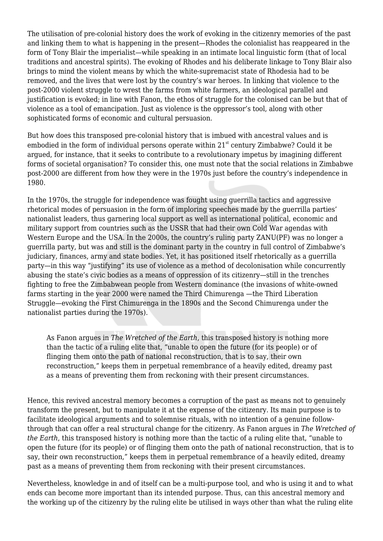The utilisation of pre-colonial history does the work of evoking in the citizenry memories of the past and linking them to what is happening in the present—Rhodes the colonialist has reappeared in the form of Tony Blair the imperialist—while speaking in an intimate local linguistic form (that of local traditions and ancestral spirits). The evoking of Rhodes and his deliberate linkage to Tony Blair also brings to mind the violent means by which the white-supremacist state of Rhodesia had to be removed, and the lives that were lost by the country's war heroes. In linking that violence to the post-2000 violent struggle to wrest the farms from white farmers, an ideological parallel and justification is evoked; in line with Fanon, the ethos of struggle for the colonised can be but that of violence as a tool of emancipation. Just as violence is the oppressor's tool, along with other sophisticated forms of economic and cultural persuasion.

But how does this transposed pre-colonial history that is imbued with ancestral values and is embodied in the form of individual persons operate within  $21<sup>st</sup>$  century Zimbabwe? Could it be argued, for instance, that it seeks to contribute to a revolutionary impetus by imagining different forms of societal organisation? To consider this, one must note that the social relations in Zimbabwe post-2000 are different from how they were in the 1970s just before the country's independence in 1980.

In the 1970s, the struggle for independence was fought using guerrilla tactics and aggressive rhetorical modes of persuasion in the form of imploring speeches made by the guerrilla parties' nationalist leaders, thus garnering local support as well as international political, economic and military support from countries such as the USSR that had their own Cold War agendas with Western Europe and the USA. In the 2000s, the country's ruling party ZANU(PF) was no longer a guerrilla party, but was and still is the dominant party in the country in full control of Zimbabwe's judiciary, finances, army and state bodies. Yet, it has positioned itself rhetorically as a guerrilla party—in this way "justifying" its use of violence as a method of decolonisation while concurrently abusing the state's civic bodies as a means of oppression of its citizenry—still in the trenches fighting to free the Zimbabwean people from Western dominance (the invasions of white-owned farms starting in the year 2000 were named the Third Chimurenga —the Third Liberation Struggle—evoking the First Chimurenga in the 1890s and the Second Chimurenga under the nationalist parties during the 1970s).

As Fanon argues in *The Wretched of the Earth*, this transposed history is nothing more than the tactic of a ruling elite that, "unable to open the future (for its people) or of flinging them onto the path of national reconstruction, that is to say, their own reconstruction," keeps them in perpetual remembrance of a heavily edited, dreamy past as a means of preventing them from reckoning with their present circumstances.

Hence, this revived ancestral memory becomes a corruption of the past as means not to genuinely transform the present, but to manipulate it at the expense of the citizenry. Its main purpose is to facilitate ideological arguments and to solemnise rituals, with no intention of a genuine followthrough that can offer a real structural change for the citizenry. As Fanon argues in *The Wretched of the Earth*, this transposed history is nothing more than the tactic of a ruling elite that, "unable to open the future (for its people) or of flinging them onto the path of national reconstruction, that is to say, their own reconstruction," keeps them in perpetual remembrance of a heavily edited, dreamy past as a means of preventing them from reckoning with their present circumstances.

Nevertheless, knowledge in and of itself can be a multi-purpose tool, and who is using it and to what ends can become more important than its intended purpose. Thus, can this ancestral memory and the working up of the citizenry by the ruling elite be utilised in ways other than what the ruling elite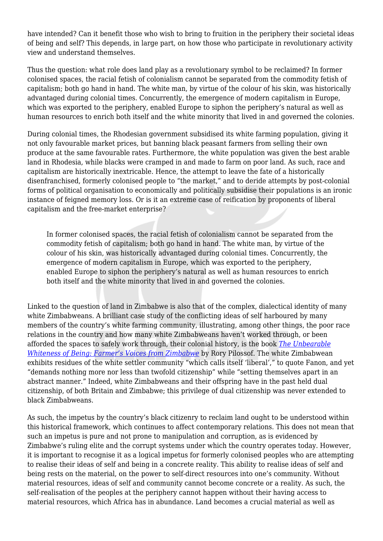have intended? Can it benefit those who wish to bring to fruition in the periphery their societal ideas of being and self? This depends, in large part, on how those who participate in revolutionary activity view and understand themselves.

Thus the question: what role does land play as a revolutionary symbol to be reclaimed? In former colonised spaces, the racial fetish of colonialism cannot be separated from the commodity fetish of capitalism; both go hand in hand. The white man, by virtue of the colour of his skin, was historically advantaged during colonial times. Concurrently, the emergence of modern capitalism in Europe, which was exported to the periphery, enabled Europe to siphon the periphery's natural as well as human resources to enrich both itself and the white minority that lived in and governed the colonies.

During colonial times, the Rhodesian government subsidised its white farming population, giving it not only favourable market prices, but banning black peasant farmers from selling their own produce at the same favourable rates. Furthermore, the white population was given the best arable land in Rhodesia, while blacks were cramped in and made to farm on poor land. As such, race and capitalism are historically inextricable. Hence, the attempt to leave the fate of a historically disenfranchised, formerly colonised people to "the market," and to deride attempts by post-colonial forms of political organisation to economically and politically subsidise their populations is an ironic instance of feigned memory loss. Or is it an extreme case of reification by proponents of liberal capitalism and the free-market enterprise?

In former colonised spaces, the racial fetish of colonialism cannot be separated from the commodity fetish of capitalism; both go hand in hand. The white man, by virtue of the colour of his skin, was historically advantaged during colonial times. Concurrently, the emergence of modern capitalism in Europe, which was exported to the periphery, enabled Europe to siphon the periphery's natural as well as human resources to enrich both itself and the white minority that lived in and governed the colonies.

Linked to the question of land in Zimbabwe is also that of the complex, dialectical identity of many white Zimbabweans. A brilliant case study of the conflicting ideas of self harboured by many members of the country's white farming community, illustrating, among other things, the poor race relations in the country and how many white Zimbabweans haven't worked through, or been afforded the spaces to safely work through, their colonial history, is the book *[The Unbearable](https://www.amazon.com/Unbearable-Whiteness-Being-Farmers-Zimbabwe/dp/177922169X) [Whiteness of Being: Farmer's Voices from Zimbabwe](https://www.amazon.com/Unbearable-Whiteness-Being-Farmers-Zimbabwe/dp/177922169X)* by Rory Pilossof. The white Zimbabwean exhibits residues of the white settler community "which calls itself 'liberal'," to quote Fanon, and yet "demands nothing more nor less than twofold citizenship" while "setting themselves apart in an abstract manner." Indeed, white Zimbabweans and their offspring have in the past held dual citizenship, of both Britain and Zimbabwe; this privilege of dual citizenship was never extended to black Zimbabweans.

As such, the impetus by the country's black citizenry to reclaim land ought to be understood within this historical framework, which continues to affect contemporary relations. This does not mean that such an impetus is pure and not prone to manipulation and corruption, as is evidenced by Zimbabwe's ruling elite and the corrupt systems under which the country operates today. However, it is important to recognise it as a logical impetus for formerly colonised peoples who are attempting to realise their ideas of self and being in a concrete reality. This ability to realise ideas of self and being rests on the material, on the power to self-direct resources into one's community. Without material resources, ideas of self and community cannot become concrete or a reality. As such, the self-realisation of the peoples at the periphery cannot happen without their having access to material resources, which Africa has in abundance. Land becomes a crucial material as well as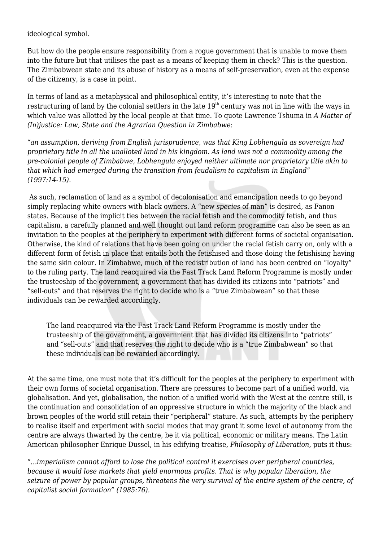ideological symbol.

But how do the people ensure responsibility from a rogue government that is unable to move them into the future but that utilises the past as a means of keeping them in check? This is the question. The Zimbabwean state and its abuse of history as a means of self-preservation, even at the expense of the citizenry, is a case in point.

In terms of land as a metaphysical and philosophical entity, it's interesting to note that the restructuring of land by the colonial settlers in the late  $19<sup>th</sup>$  century was not in line with the ways in which value was allotted by the local people at that time. To quote Lawrence Tshuma in *A Matter of (In)justice: Law, State and the Agrarian Question in Zimbabwe*:

*"an assumption, deriving from English jurisprudence, was that King Lobhengula as sovereign had proprietary title in all the unalloted land in his kingdom. As land was not a commodity among the pre-colonial people of Zimbabwe, Lobhengula enjoyed neither ultimate nor proprietary title akin to that which had emerged during the transition from feudalism to capitalism in England" (1997:14-15).*

As such, reclamation of land as a symbol of decolonisation and emancipation needs to go beyond simply replacing white owners with black owners. A "new *species* of man" is desired, as Fanon states. Because of the implicit ties between the racial fetish and the commodity fetish, and thus capitalism, a carefully planned and well thought out land reform programme can also be seen as an invitation to the peoples at the periphery to experiment with different forms of societal organisation. Otherwise, the kind of relations that have been going on under the racial fetish carry on, only with a different form of fetish in place that entails both the fetishised and those doing the fetishising having the same skin colour. In Zimbabwe, much of the redistribution of land has been centred on "loyalty" to the ruling party. The land reacquired via the Fast Track Land Reform Programme is mostly under the trusteeship of the government, a government that has divided its citizens into "patriots" and "sell-outs" and that reserves the right to decide who is a "true Zimbabwean" so that these individuals can be rewarded accordingly.

The land reacquired via the Fast Track Land Reform Programme is mostly under the trusteeship of the government, a government that has divided its citizens into "patriots" and "sell-outs" and that reserves the right to decide who is a "true Zimbabwean" so that these individuals can be rewarded accordingly.

At the same time, one must note that it's difficult for the peoples at the periphery to experiment with their own forms of societal organisation. There are pressures to become part of a unified world, via globalisation. And yet, globalisation, the notion of a unified world with the West at the centre still, is the continuation and consolidation of an oppressive structure in which the majority of the black and brown peoples of the world still retain their "peripheral" stature. As such, attempts by the periphery to realise itself and experiment with social modes that may grant it some level of autonomy from the centre are always thwarted by the centre, be it via political, economic or military means. The Latin American philosopher Enrique Dussel, in his edifying treatise, *Philosophy of Liberation*, puts it thus:

*"…imperialism cannot afford to lose the political control it exercises over peripheral countries, because it would lose markets that yield enormous profits. That is why popular liberation, the seizure of power by popular groups, threatens the very survival of the entire system of the centre, of capitalist social formation" (1985:76).*